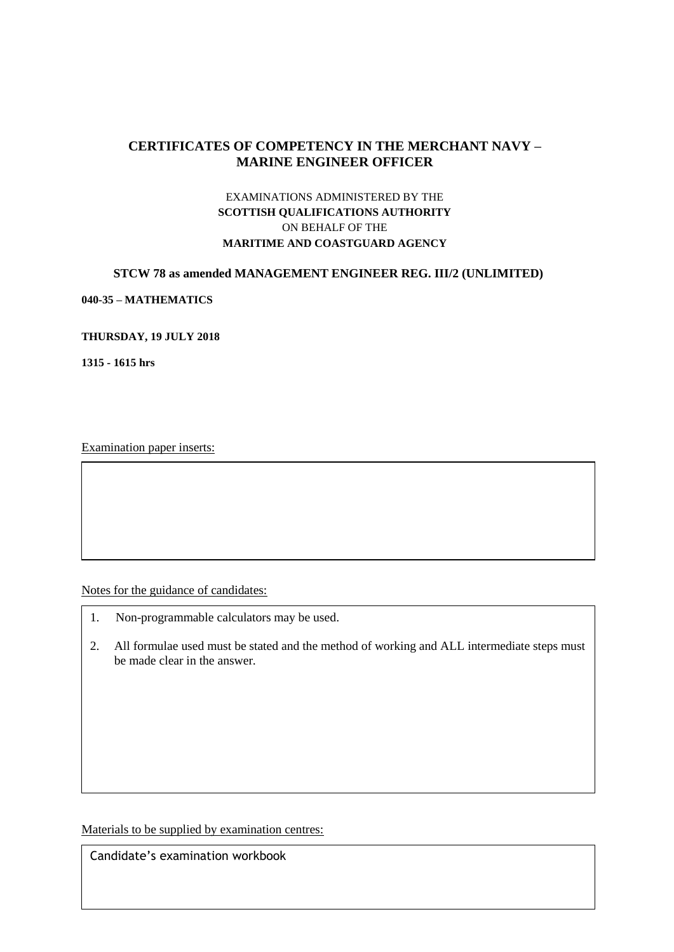# **CERTIFICATES OF COMPETENCY IN THE MERCHANT NAVY – MARINE ENGINEER OFFICER**

## EXAMINATIONS ADMINISTERED BY THE **SCOTTISH QUALIFICATIONS AUTHORITY** ON BEHALF OF THE **MARITIME AND COASTGUARD AGENCY**

## **STCW 78 as amended MANAGEMENT ENGINEER REG. III/2 (UNLIMITED)**

**040-35 – MATHEMATICS**

#### **THURSDAY, 19 JULY 2018**

**1315 - 1615 hrs**

Examination paper inserts:

Notes for the guidance of candidates:

- 1. Non-programmable calculators may be used.
- 2. All formulae used must be stated and the method of working and ALL intermediate steps must be made clear in the answer.

Materials to be supplied by examination centres:

Candidate's examination workbook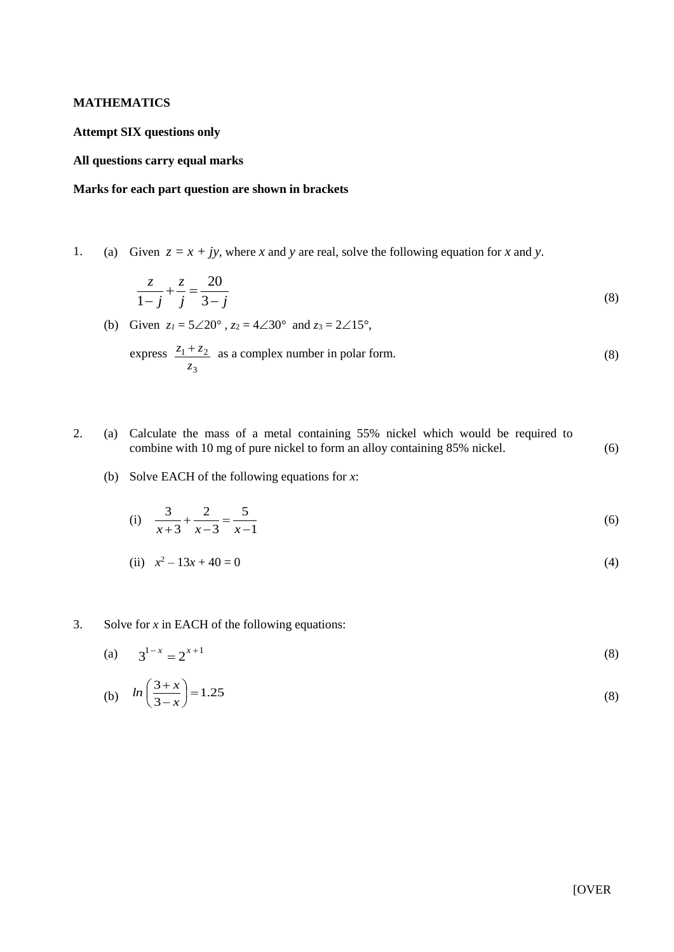#### **MATHEMATICS**

#### **Attempt SIX questions only**

### **All questions carry equal marks**

### **Marks for each part question are shown in brackets**

1. (a) Given  $z = x + jy$ , where *x* and *y* are real, solve the following equation for *x* and *y*.

$$
\frac{z}{1-j} + \frac{z}{j} = \frac{20}{3-j}
$$
 (8)

(b) Given  $z_1 = 5 \angle 20^\circ$ ,  $z_2 = 4 \angle 30^\circ$  and  $z_3 = 2 \angle 15^\circ$ ,

express 
$$
\frac{z_1 + z_2}{z_3}
$$
 as a complex number in polar form. (8)

- 2. (a) Calculate the mass of a metal containing 55% nickel which would be required to combine with 10 mg of pure nickel to form an alloy containing 85% nickel. (6)
	- (b) Solve EACH of the following equations for *x*:

(i) 
$$
\frac{3}{x+3} + \frac{2}{x-3} = \frac{5}{x-1}
$$
 (6)

(ii)  $x^2 - 13x + 40 = 0$ (4)

#### 3. Solve for *x* in EACH of the following equations:

(a) 
$$
3^{1-x} = 2^{x+1}
$$
 (8)

(b) 
$$
ln\left(\frac{3+x}{3-x}\right) = 1.25
$$
 (8)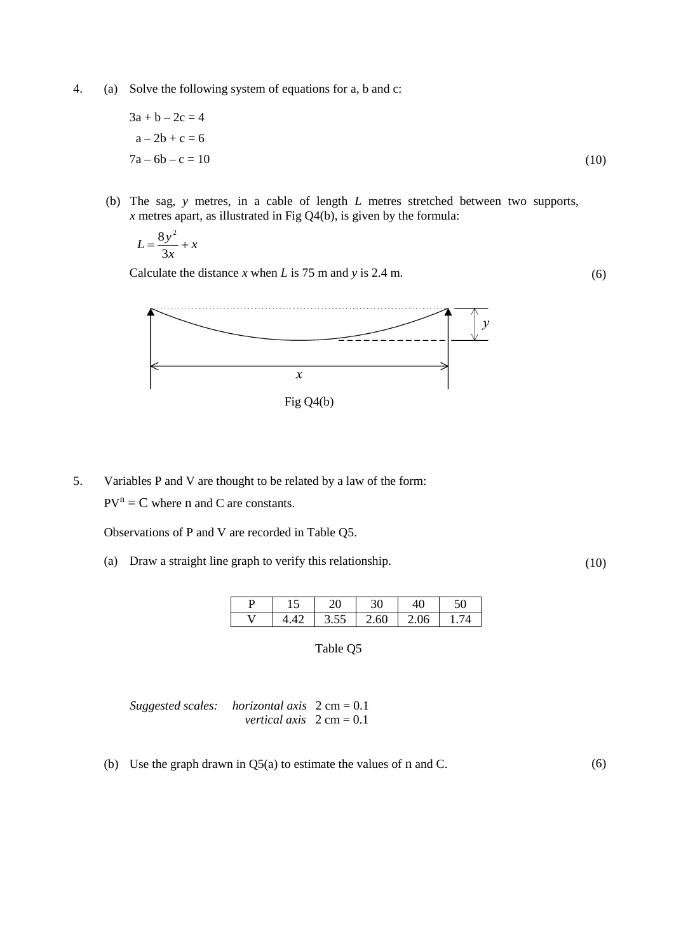4. (a) Solve the following system of equations for a, b and c:

$$
3a + b - 2c = 4a - 2b + c = 67a - 6b - c = 10
$$
 (10)

(b) The sag, *y* metres, in a cable of length *L* metres stretched between two supports, *x* metres apart, as illustrated in Fig Q4(b), is given by the formula:

$$
L = \frac{8y^2}{3x} + x
$$

Calculate the distance *x* when *L* is 75 m and *y* is 2.4 m.



5. Variables P and V are thought to be related by a law of the form:  $PV^{n} = C$  where n and C are constants.

Observations of P and V are recorded in Table Q5.

(a) Draw a straight line graph to verify this relationship.

(10)

(6)

| ⊥J | า∩   | 30   | 40   | 50 |
|----|------|------|------|----|
|    | 3.55 | 2.60 | 2.06 |    |

Table Q5

| Suggested scales: horizontal axis $2 \text{ cm} = 0.1$ |                                           |  |
|--------------------------------------------------------|-------------------------------------------|--|
|                                                        | <i>vertical axis</i> $2 \text{ cm} = 0.1$ |  |

(b) Use the graph drawn in Q5(a) to estimate the values of n and C. (6)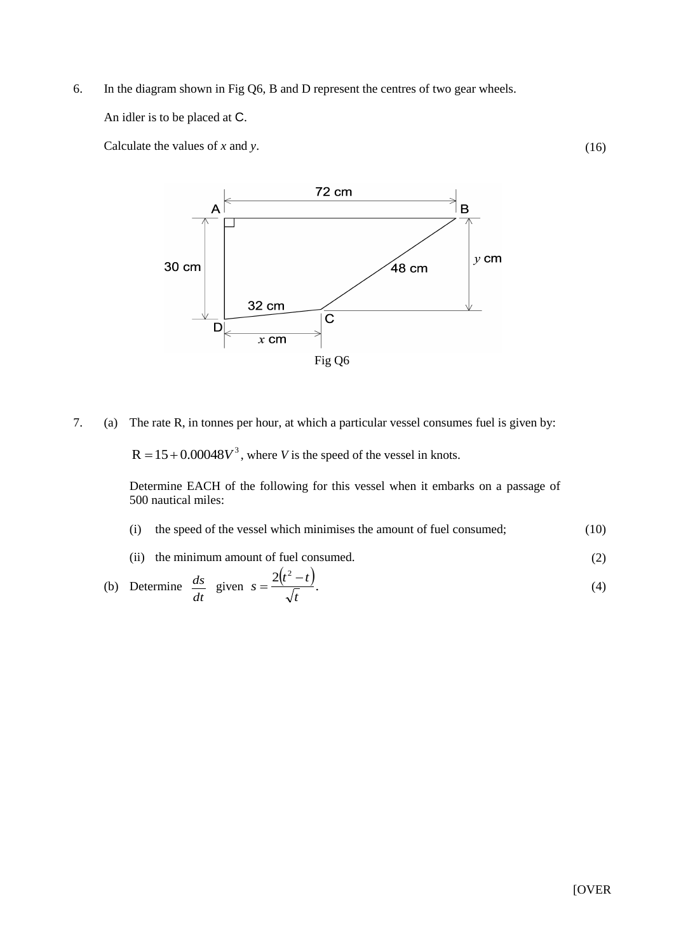6. In the diagram shown in Fig Q6, B and D represent the centres of two gear wheels.

An idler is to be placed at C.

Calculate the values of *x* and *y*.



7. (a) The rate R, in tonnes per hour, at which a particular vessel consumes fuel is given by:

 $R = 15 + 0.00048V^3$ , where *V* is the speed of the vessel in knots.

Determine EACH of the following for this vessel when it embarks on a passage of 500 nautical miles:

- (i) the speed of the vessel which minimises the amount of fuel consumed; (10)
- (ii) the minimum amount of fuel consumed. (2)

(b) Determine 
$$
\frac{ds}{dt}
$$
 given  $s = \frac{2(t^2 - t)}{\sqrt{t}}$ . (4)

(16)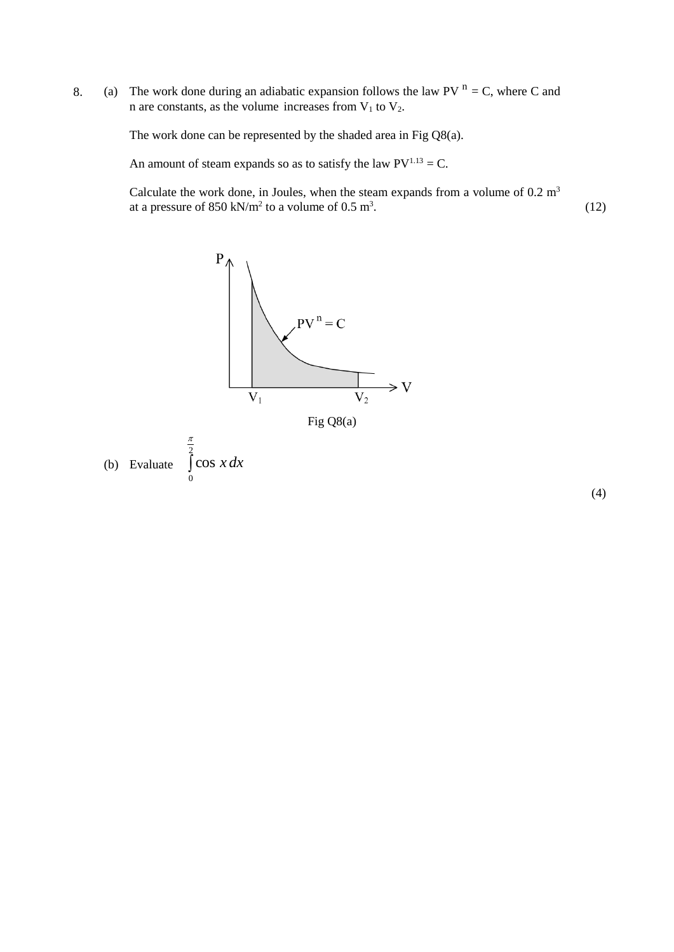8. (a) The work done during an adiabatic expansion follows the law PV  $^n = C$ , where C and n are constants, as the volume increases from  $V_1$  to  $V_2$ .

The work done can be represented by the shaded area in Fig Q8(a).

An amount of steam expands so as to satisfy the law  $PV^{1.13} = C$ .

Calculate the work done, in Joules, when the steam expands from a volume of  $0.2 \text{ m}^3$ at a pressure of 850 kN/m<sup>2</sup> to a volume of 0.5 m<sup>3</sup>. (12)



(4)